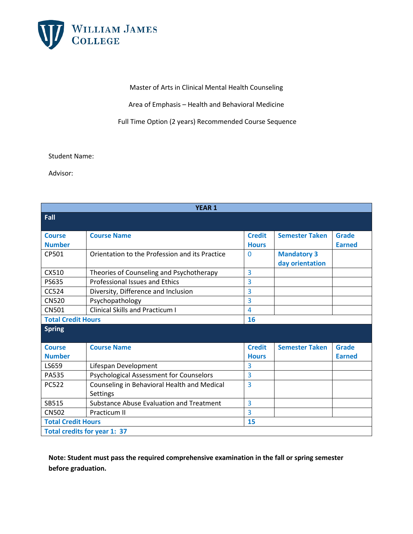

## Master of Arts in Clinical Mental Health Counseling

Area of Emphasis – Health and Behavioral Medicine

Full Time Option (2 years) Recommended Course Sequence

## Student Name:

Advisor:

| <b>YEAR 1</b>                       |                                                |                |                       |               |  |  |
|-------------------------------------|------------------------------------------------|----------------|-----------------------|---------------|--|--|
| Fall                                |                                                |                |                       |               |  |  |
|                                     |                                                |                |                       |               |  |  |
| <b>Course</b>                       | <b>Course Name</b>                             | <b>Credit</b>  | <b>Semester Taken</b> | <b>Grade</b>  |  |  |
| <b>Number</b>                       |                                                | <b>Hours</b>   |                       | <b>Earned</b> |  |  |
| CP501                               | Orientation to the Profession and its Practice | $\mathbf{0}$   | <b>Mandatory 3</b>    |               |  |  |
|                                     |                                                |                | day orientation       |               |  |  |
| CX510                               | Theories of Counseling and Psychotherapy       | 3              |                       |               |  |  |
| <b>PS635</b>                        | <b>Professional Issues and Ethics</b>          | 3              |                       |               |  |  |
| CC524                               | Diversity, Difference and Inclusion            | 3              |                       |               |  |  |
| <b>CN520</b>                        | Psychopathology                                | 3              |                       |               |  |  |
| <b>CN501</b>                        | <b>Clinical Skills and Practicum I</b>         | 4              |                       |               |  |  |
| <b>Total Credit Hours</b>           |                                                | 16             |                       |               |  |  |
| <b>Spring</b>                       |                                                |                |                       |               |  |  |
|                                     |                                                |                |                       |               |  |  |
| <b>Course</b>                       | <b>Course Name</b>                             | <b>Credit</b>  | <b>Semester Taken</b> | Grade         |  |  |
| <b>Number</b>                       |                                                | <b>Hours</b>   |                       | <b>Earned</b> |  |  |
| LS659                               | Lifespan Development                           | $\overline{3}$ |                       |               |  |  |
| <b>PA535</b>                        | Psychological Assessment for Counselors        | 3              |                       |               |  |  |
| <b>PC522</b>                        | Counseling in Behavioral Health and Medical    | 3              |                       |               |  |  |
|                                     | Settings                                       |                |                       |               |  |  |
| SB515                               | Substance Abuse Evaluation and Treatment       | 3              |                       |               |  |  |
| <b>CN502</b>                        | Practicum II                                   | 3              |                       |               |  |  |
| <b>Total Credit Hours</b>           |                                                | 15             |                       |               |  |  |
| <b>Total credits for year 1: 37</b> |                                                |                |                       |               |  |  |

**Note: Student must pass the required comprehensive examination in the fall or spring semester before graduation.**